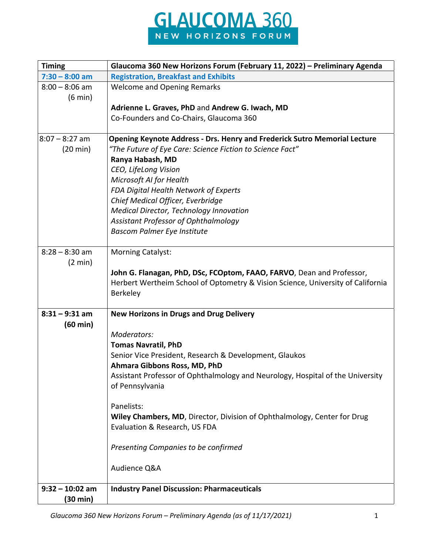

| <b>Timing</b>                         | Glaucoma 360 New Horizons Forum (February 11, 2022) - Preliminary Agenda         |
|---------------------------------------|----------------------------------------------------------------------------------|
| $7:30 - 8:00$ am                      | <b>Registration, Breakfast and Exhibits</b>                                      |
| $8:00 - 8:06$ am<br>$(6 \text{ min})$ | <b>Welcome and Opening Remarks</b>                                               |
|                                       | Adrienne L. Graves, PhD and Andrew G. Iwach, MD                                  |
|                                       | Co-Founders and Co-Chairs, Glaucoma 360                                          |
|                                       |                                                                                  |
| $8:07 - 8:27$ am                      | <b>Opening Keynote Address - Drs. Henry and Frederick Sutro Memorial Lecture</b> |
| $(20 \text{ min})$                    | "The Future of Eye Care: Science Fiction to Science Fact"                        |
|                                       | Ranya Habash, MD                                                                 |
|                                       | CEO, LifeLong Vision                                                             |
|                                       | Microsoft AI for Health                                                          |
|                                       | FDA Digital Health Network of Experts                                            |
|                                       | Chief Medical Officer, Everbridge                                                |
|                                       | Medical Director, Technology Innovation                                          |
|                                       | Assistant Professor of Ophthalmology                                             |
|                                       | <b>Bascom Palmer Eye Institute</b>                                               |
|                                       |                                                                                  |
| $8:28 - 8:30$ am<br>$(2 \text{ min})$ | <b>Morning Catalyst:</b>                                                         |
|                                       | John G. Flanagan, PhD, DSc, FCOptom, FAAO, FARVO, Dean and Professor,            |
|                                       | Herbert Wertheim School of Optometry & Vision Science, University of California  |
|                                       | <b>Berkeley</b>                                                                  |
|                                       |                                                                                  |
| $8:31 - 9:31$ am                      | <b>New Horizons in Drugs and Drug Delivery</b>                                   |
| $(60 \text{ min})$                    |                                                                                  |
|                                       | Moderators:                                                                      |
|                                       | <b>Tomas Navratil, PhD</b>                                                       |
|                                       | Senior Vice President, Research & Development, Glaukos                           |
|                                       | Ahmara Gibbons Ross, MD, PhD                                                     |
|                                       | Assistant Professor of Ophthalmology and Neurology, Hospital of the University   |
|                                       | of Pennsylvania                                                                  |
|                                       |                                                                                  |
|                                       | Panelists:                                                                       |
|                                       | Wiley Chambers, MD, Director, Division of Ophthalmology, Center for Drug         |
|                                       | Evaluation & Research, US FDA                                                    |
|                                       |                                                                                  |
|                                       | Presenting Companies to be confirmed                                             |
|                                       |                                                                                  |
|                                       | Audience Q&A                                                                     |
|                                       |                                                                                  |
| $9:32 - 10:02$ am                     | <b>Industry Panel Discussion: Pharmaceuticals</b>                                |
| (30 min)                              |                                                                                  |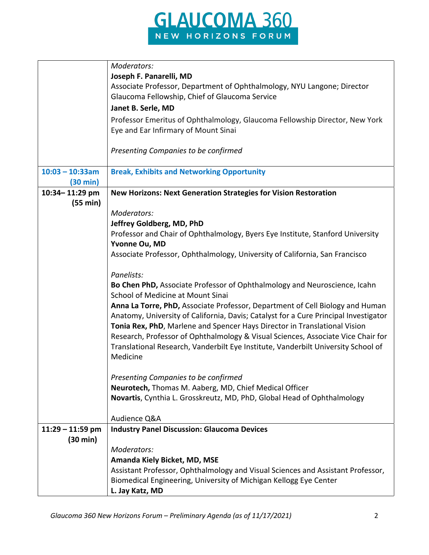

|                    | Moderators:                                                                          |
|--------------------|--------------------------------------------------------------------------------------|
|                    | Joseph F. Panarelli, MD                                                              |
|                    | Associate Professor, Department of Ophthalmology, NYU Langone; Director              |
|                    | Glaucoma Fellowship, Chief of Glaucoma Service                                       |
|                    | Janet B. Serle, MD                                                                   |
|                    | Professor Emeritus of Ophthalmology, Glaucoma Fellowship Director, New York          |
|                    | Eye and Ear Infirmary of Mount Sinai                                                 |
|                    |                                                                                      |
|                    | Presenting Companies to be confirmed                                                 |
| $10:03 - 10:33am$  |                                                                                      |
| $(30 \text{ min})$ | <b>Break, Exhibits and Networking Opportunity</b>                                    |
| 10:34-11:29 pm     | <b>New Horizons: Next Generation Strategies for Vision Restoration</b>               |
| (55 min)           |                                                                                      |
|                    | Moderators:                                                                          |
|                    | Jeffrey Goldberg, MD, PhD                                                            |
|                    | Professor and Chair of Ophthalmology, Byers Eye Institute, Stanford University       |
|                    | Yvonne Ou, MD                                                                        |
|                    | Associate Professor, Ophthalmology, University of California, San Francisco          |
|                    |                                                                                      |
|                    | Panelists:                                                                           |
|                    | Bo Chen PhD, Associate Professor of Ophthalmology and Neuroscience, Icahn            |
|                    | School of Medicine at Mount Sinai                                                    |
|                    | Anna La Torre, PhD, Associate Professor, Department of Cell Biology and Human        |
|                    | Anatomy, University of California, Davis; Catalyst for a Cure Principal Investigator |
|                    | Tonia Rex, PhD, Marlene and Spencer Hays Director in Translational Vision            |
|                    | Research, Professor of Ophthalmology & Visual Sciences, Associate Vice Chair for     |
|                    | Translational Research, Vanderbilt Eye Institute, Vanderbilt University School of    |
|                    | Medicine                                                                             |
|                    |                                                                                      |
|                    | Presenting Companies to be confirmed                                                 |
|                    | <b>Neurotech, Thomas M. Aaberg, MD, Chief Medical Officer</b>                        |
|                    | Novartis, Cynthia L. Grosskreutz, MD, PhD, Global Head of Ophthalmology              |
|                    |                                                                                      |
|                    | Audience Q&A                                                                         |
| $11:29 - 11:59$ pm | <b>Industry Panel Discussion: Glaucoma Devices</b>                                   |
| (30 min)           |                                                                                      |
|                    | Moderators:                                                                          |
|                    | Amanda Kiely Bicket, MD, MSE                                                         |
|                    | Assistant Professor, Ophthalmology and Visual Sciences and Assistant Professor,      |
|                    | Biomedical Engineering, University of Michigan Kellogg Eye Center                    |
|                    | L. Jay Katz, MD                                                                      |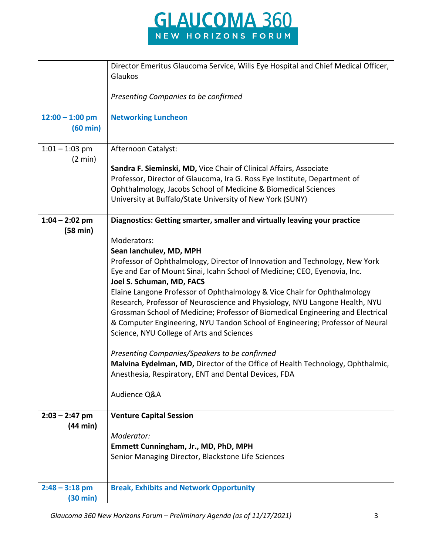

|                                         | Director Emeritus Glaucoma Service, Wills Eye Hospital and Chief Medical Officer,<br>Glaukos |
|-----------------------------------------|----------------------------------------------------------------------------------------------|
|                                         | Presenting Companies to be confirmed                                                         |
| $12:00 - 1:00$ pm<br>$(60 \text{ min})$ | <b>Networking Luncheon</b>                                                                   |
| $1:01 - 1:03$ pm<br>$(2 \text{ min})$   | Afternoon Catalyst:                                                                          |
|                                         | Sandra F. Sieminski, MD, Vice Chair of Clinical Affairs, Associate                           |
|                                         | Professor, Director of Glaucoma, Ira G. Ross Eye Institute, Department of                    |
|                                         | Ophthalmology, Jacobs School of Medicine & Biomedical Sciences                               |
|                                         | University at Buffalo/State University of New York (SUNY)                                    |
| $1:04 - 2:02$ pm                        | Diagnostics: Getting smarter, smaller and virtually leaving your practice                    |
| (58 min)                                | Moderators:                                                                                  |
|                                         | Sean Ianchulev, MD, MPH                                                                      |
|                                         | Professor of Ophthalmology, Director of Innovation and Technology, New York                  |
|                                         | Eye and Ear of Mount Sinai, Icahn School of Medicine; CEO, Eyenovia, Inc.                    |
|                                         | Joel S. Schuman, MD, FACS                                                                    |
|                                         | Elaine Langone Professor of Ophthalmology & Vice Chair for Ophthalmology                     |
|                                         | Research, Professor of Neuroscience and Physiology, NYU Langone Health, NYU                  |
|                                         | Grossman School of Medicine; Professor of Biomedical Engineering and Electrical              |
|                                         | & Computer Engineering, NYU Tandon School of Engineering; Professor of Neural                |
|                                         | Science, NYU College of Arts and Sciences                                                    |
|                                         | Presenting Companies/Speakers to be confirmed                                                |
|                                         | Malvina Eydelman, MD, Director of the Office of Health Technology, Ophthalmic,               |
|                                         | Anesthesia, Respiratory, ENT and Dental Devices, FDA                                         |
|                                         | Audience Q&A                                                                                 |
| $2:03 - 2:47$ pm                        | <b>Venture Capital Session</b>                                                               |
| (44 min)                                |                                                                                              |
|                                         | Moderator:                                                                                   |
|                                         | Emmett Cunningham, Jr., MD, PhD, MPH                                                         |
|                                         | Senior Managing Director, Blackstone Life Sciences                                           |
|                                         |                                                                                              |
| $2:48 - 3:18$ pm                        | <b>Break, Exhibits and Network Opportunity</b>                                               |
| $(30 \text{ min})$                      |                                                                                              |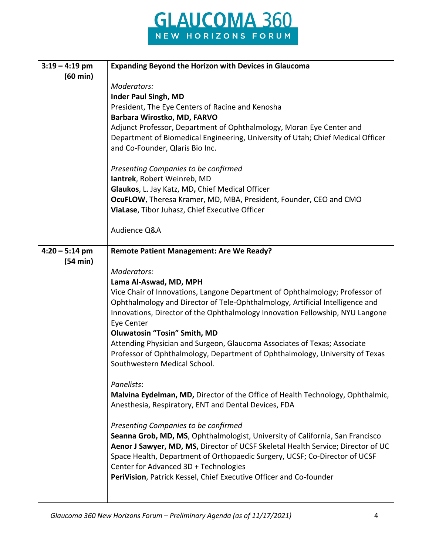

| $3:19 - 4:19$ pm   | <b>Expanding Beyond the Horizon with Devices in Glaucoma</b>                                |
|--------------------|---------------------------------------------------------------------------------------------|
| $(60 \text{ min})$ |                                                                                             |
|                    | Moderators:                                                                                 |
|                    | <b>Inder Paul Singh, MD</b>                                                                 |
|                    | President, The Eye Centers of Racine and Kenosha                                            |
|                    | Barbara Wirostko, MD, FARVO                                                                 |
|                    | Adjunct Professor, Department of Ophthalmology, Moran Eye Center and                        |
|                    | Department of Biomedical Engineering, University of Utah; Chief Medical Officer             |
|                    | and Co-Founder, Qlaris Bio Inc.                                                             |
|                    |                                                                                             |
|                    | Presenting Companies to be confirmed                                                        |
|                    | lantrek, Robert Weinreb, MD                                                                 |
|                    | Glaukos, L. Jay Katz, MD, Chief Medical Officer                                             |
|                    | OcuFLOW, Theresa Kramer, MD, MBA, President, Founder, CEO and CMO                           |
|                    | ViaLase, Tibor Juhasz, Chief Executive Officer                                              |
|                    |                                                                                             |
|                    | Audience Q&A                                                                                |
|                    |                                                                                             |
| $4:20 - 5:14$ pm   | <b>Remote Patient Management: Are We Ready?</b>                                             |
| (54 min)           |                                                                                             |
|                    | Moderators:                                                                                 |
|                    | Lama Al-Aswad, MD, MPH                                                                      |
|                    | Vice Chair of Innovations, Langone Department of Ophthalmology; Professor of                |
|                    | Ophthalmology and Director of Tele-Ophthalmology, Artificial Intelligence and               |
|                    | Innovations, Director of the Ophthalmology Innovation Fellowship, NYU Langone<br>Eye Center |
|                    | <b>Oluwatosin "Tosin" Smith, MD</b>                                                         |
|                    | Attending Physician and Surgeon, Glaucoma Associates of Texas; Associate                    |
|                    | Professor of Ophthalmology, Department of Ophthalmology, University of Texas                |
|                    | Southwestern Medical School.                                                                |
|                    |                                                                                             |
|                    | Panelists:                                                                                  |
|                    | Malvina Eydelman, MD, Director of the Office of Health Technology, Ophthalmic,              |
|                    | Anesthesia, Respiratory, ENT and Dental Devices, FDA                                        |
|                    |                                                                                             |
|                    | Presenting Companies to be confirmed                                                        |
|                    | Seanna Grob, MD, MS, Ophthalmologist, University of California, San Francisco               |
|                    | Aenor J Sawyer, MD, MS, Director of UCSF Skeletal Health Service; Director of UC            |
|                    | Space Health, Department of Orthopaedic Surgery, UCSF; Co-Director of UCSF                  |
|                    | Center for Advanced 3D + Technologies                                                       |
|                    | PeriVision, Patrick Kessel, Chief Executive Officer and Co-founder                          |
|                    |                                                                                             |
|                    |                                                                                             |